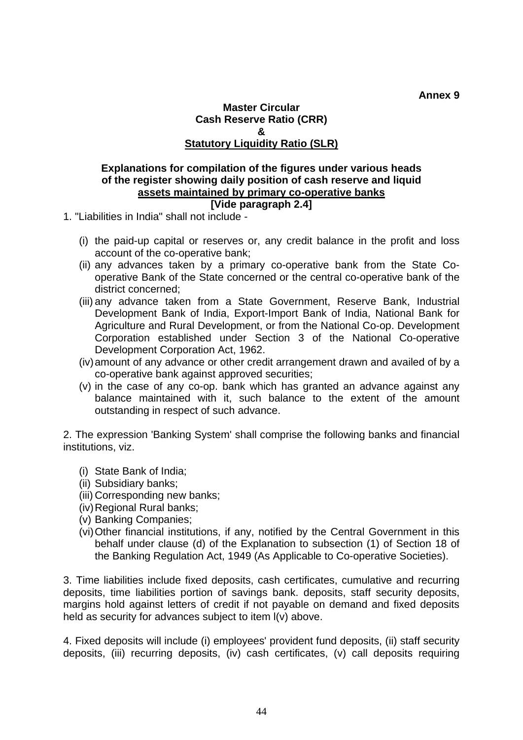## **Master Circular Cash Reserve Ratio (CRR) & Statutory Liquidity Ratio (SLR)**

## **Explanations for compilation of the figures under various heads of the register showing daily position of cash reserve and liquid assets maintained by primary co-operative banks [Vide paragraph 2.4]**

- 1. "Liabilities in India" shall not include
	- (i) the paid-up capital or reserves or, any credit balance in the profit and loss account of the co-operative bank;
	- (ii) any advances taken by a primary co-operative bank from the State Cooperative Bank of the State concerned or the central co-operative bank of the district concerned;
	- (iii) any advance taken from a State Government, Reserve Bank, Industrial Development Bank of India, Export-Import Bank of India, National Bank for Agriculture and Rural Development, or from the National Co-op. Development Corporation established under Section 3 of the National Co-operative Development Corporation Act, 1962.
	- (iv) amount of any advance or other credit arrangement drawn and availed of by a co-operative bank against approved securities;
	- (v) in the case of any co-op. bank which has granted an advance against any balance maintained with it, such balance to the extent of the amount outstanding in respect of such advance.

2. The expression 'Banking System' shall comprise the following banks and financial institutions, viz.

- (i) State Bank of India;
- (ii) Subsidiary banks;
- (iii) Corresponding new banks;
- (iv) Regional Rural banks;
- (v) Banking Companies;
- (vi) Other financial institutions, if any, notified by the Central Government in this behalf under clause (d) of the Explanation to subsection (1) of Section 18 of the Banking Regulation Act, 1949 (As Applicable to Co-operative Societies).

3. Time liabilities include fixed deposits, cash certificates, cumulative and recurring deposits, time liabilities portion of savings bank. deposits, staff security deposits, margins hold against letters of credit if not payable on demand and fixed deposits held as security for advances subject to item l(v) above.

4. Fixed deposits will include (i) employees' provident fund deposits, (ii) staff security deposits, (iii) recurring deposits, (iv) cash certificates, (v) call deposits requiring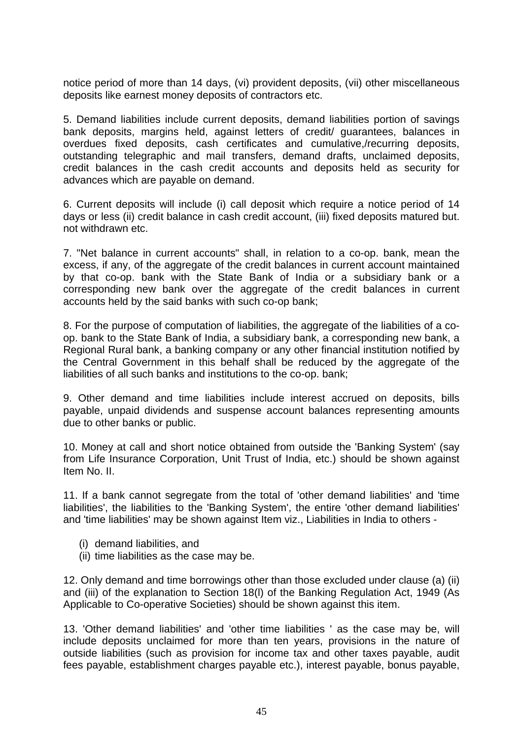notice period of more than 14 days, (vi) provident deposits, (vii) other miscellaneous deposits like earnest money deposits of contractors etc.

5. Demand liabilities include current deposits, demand liabilities portion of savings bank deposits, margins held, against letters of credit/ guarantees, balances in overdues fixed deposits, cash certificates and cumulative,/recurring deposits, outstanding telegraphic and mail transfers, demand drafts, unclaimed deposits, credit balances in the cash credit accounts and deposits held as security for advances which are payable on demand.

6. Current deposits will include (i) call deposit which require a notice period of 14 days or less (ii) credit balance in cash credit account, (iii) fixed deposits matured but. not withdrawn etc.

7. "Net balance in current accounts" shall, in relation to a co-op. bank, mean the excess, if any, of the aggregate of the credit balances in current account maintained by that co-op. bank with the State Bank of India or a subsidiary bank or a corresponding new bank over the aggregate of the credit balances in current accounts held by the said banks with such co-op bank;

8. For the purpose of computation of liabilities, the aggregate of the liabilities of a coop. bank to the State Bank of India, a subsidiary bank, a corresponding new bank, a Regional Rural bank, a banking company or any other financial institution notified by the Central Government in this behalf shall be reduced by the aggregate of the liabilities of all such banks and institutions to the co-op. bank;

9. Other demand and time liabilities include interest accrued on deposits, bills payable, unpaid dividends and suspense account balances representing amounts due to other banks or public.

10. Money at call and short notice obtained from outside the 'Banking System' (say from Life Insurance Corporation, Unit Trust of India, etc.) should be shown against Item No. II.

11. If a bank cannot segregate from the total of 'other demand liabilities' and 'time liabilities', the liabilities to the 'Banking System', the entire 'other demand liabilities' and 'time liabilities' may be shown against Item viz., Liabilities in India to others -

- (i) demand liabilities, and
- (ii) time liabilities as the case may be.

12. Only demand and time borrowings other than those excluded under clause (a) (ii) and (iii) of the explanation to Section 18(l) of the Banking Regulation Act, 1949 (As Applicable to Co-operative Societies) should be shown against this item.

13. 'Other demand liabilities' and 'other time liabilities ' as the case may be, will include deposits unclaimed for more than ten years, provisions in the nature of outside liabilities (such as provision for income tax and other taxes payable, audit fees payable, establishment charges payable etc.), interest payable, bonus payable,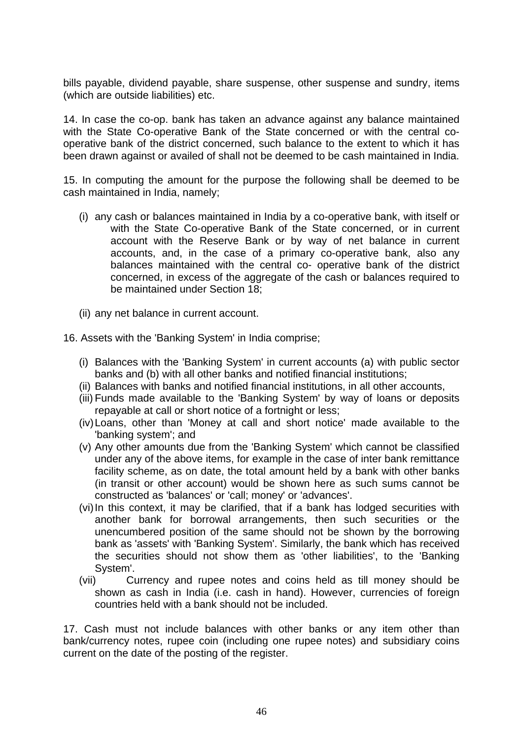bills payable, dividend payable, share suspense, other suspense and sundry, items (which are outside liabilities) etc.

14. In case the co-op. bank has taken an advance against any balance maintained with the State Co-operative Bank of the State concerned or with the central cooperative bank of the district concerned, such balance to the extent to which it has been drawn against or availed of shall not be deemed to be cash maintained in India.

15. In computing the amount for the purpose the following shall be deemed to be cash maintained in India, namely;

- (i) any cash or balances maintained in India by a co-operative bank, with itself or with the State Co-operative Bank of the State concerned, or in current account with the Reserve Bank or by way of net balance in current accounts, and, in the case of a primary co-operative bank, also any balances maintained with the central co- operative bank of the district concerned, in excess of the aggregate of the cash or balances required to be maintained under Section 18;
- (ii) any net balance in current account.
- 16. Assets with the 'Banking System' in India comprise;
	- (i) Balances with the 'Banking System' in current accounts (a) with public sector banks and (b) with all other banks and notified financial institutions;
	- (ii) Balances with banks and notified financial institutions, in all other accounts,
	- (iii) Funds made available to the 'Banking System' by way of loans or deposits repayable at call or short notice of a fortnight or less;
	- (iv) Loans, other than 'Money at call and short notice' made available to the 'banking system'; and
	- (v) Any other amounts due from the 'Banking System' which cannot be classified under any of the above items, for example in the case of inter bank remittance facility scheme, as on date, the total amount held by a bank with other banks (in transit or other account) would be shown here as such sums cannot be constructed as 'balances' or 'call; money' or 'advances'.
	- (vi) In this context, it may be clarified, that if a bank has lodged securities with another bank for borrowal arrangements, then such securities or the unencumbered position of the same should not be shown by the borrowing bank as 'assets' with 'Banking System'. Similarly, the bank which has received the securities should not show them as 'other liabilities', to the 'Banking System'.
	- (vii) Currency and rupee notes and coins held as till money should be shown as cash in India (i.e. cash in hand). However, currencies of foreign countries held with a bank should not be included.

17. Cash must not include balances with other banks or any item other than bank/currency notes, rupee coin (including one rupee notes) and subsidiary coins current on the date of the posting of the register.